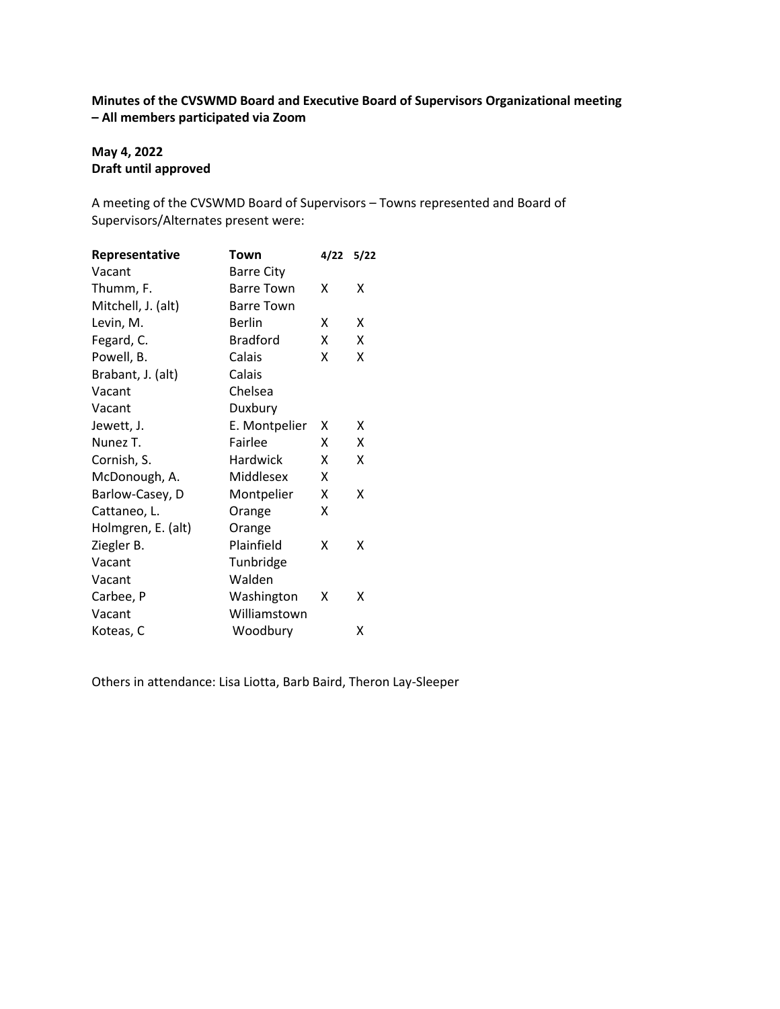# **Minutes of the CVSWMD Board and Executive Board of Supervisors Organizational meeting – All members participated via Zoom**

## **May 4, 2022 Draft until approved**

A meeting of the CVSWMD Board of Supervisors – Towns represented and Board of Supervisors/Alternates present were:

| Representative     | Town              | 4/22 | 5/22 |
|--------------------|-------------------|------|------|
| Vacant             | <b>Barre City</b> |      |      |
| Thumm, F.          | <b>Barre Town</b> | x    | x    |
| Mitchell, J. (alt) | <b>Barre Town</b> |      |      |
| Levin, M.          | <b>Berlin</b>     | x    | x    |
| Fegard, C.         | <b>Bradford</b>   | x    | Χ    |
| Powell, B.         | Calais            | x    | Χ    |
| Brabant, J. (alt)  | Calais            |      |      |
| Vacant             | Chelsea           |      |      |
| Vacant             | Duxbury           |      |      |
| Jewett, J.         | E. Montpelier     | х    | x    |
| Nunez T.           | Fairlee           | x    | Χ    |
| Cornish, S.        | <b>Hardwick</b>   | x    | x    |
| McDonough, A.      | Middlesex         | x    |      |
| Barlow-Casey, D    | Montpelier        | x    | x    |
| Cattaneo, L.       | Orange            | x    |      |
| Holmgren, E. (alt) | Orange            |      |      |
| Ziegler B.         | Plainfield        | x    | x    |
| Vacant             | Tunbridge         |      |      |
| Vacant             | Walden            |      |      |
| Carbee, P          | Washington        | х    | х    |
| Vacant             | Williamstown      |      |      |
| Koteas, C          | Woodbury          |      | χ    |

Others in attendance: Lisa Liotta, Barb Baird, Theron Lay-Sleeper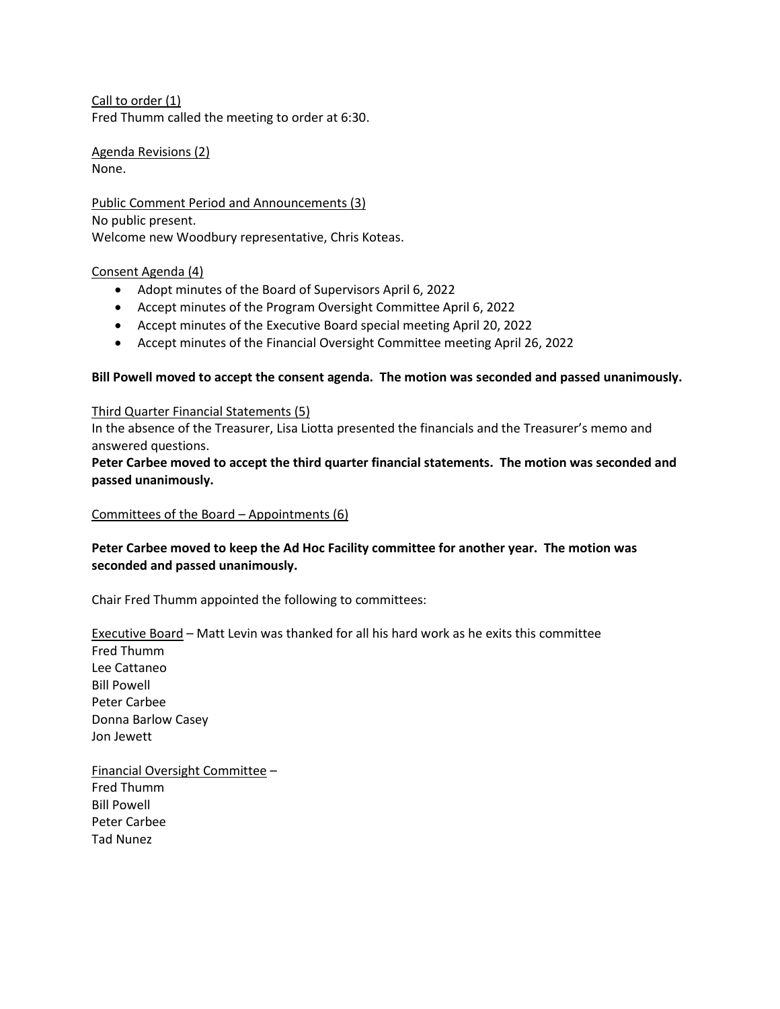Call to order (1) Fred Thumm called the meeting to order at 6:30.

Agenda Revisions (2) None.

Public Comment Period and Announcements (3) No public present. Welcome new Woodbury representative, Chris Koteas.

#### Consent Agenda (4)

- Adopt minutes of the Board of Supervisors April 6, 2022
- Accept minutes of the Program Oversight Committee April 6, 2022
- Accept minutes of the Executive Board special meeting April 20, 2022
- Accept minutes of the Financial Oversight Committee meeting April 26, 2022

#### **Bill Powell moved to accept the consent agenda. The motion was seconded and passed unanimously.**

#### Third Quarter Financial Statements (5)

In the absence of the Treasurer, Lisa Liotta presented the financials and the Treasurer's memo and answered questions.

## **Peter Carbee moved to accept the third quarter financial statements. The motion was seconded and passed unanimously.**

### Committees of the Board – Appointments (6)

## **Peter Carbee moved to keep the Ad Hoc Facility committee for another year. The motion was seconded and passed unanimously.**

Chair Fred Thumm appointed the following to committees:

Executive Board – Matt Levin was thanked for all his hard work as he exits this committee

Fred Thumm Lee Cattaneo Bill Powell Peter Carbee Donna Barlow Casey Jon Jewett

Financial Oversight Committee – Fred Thumm Bill Powell Peter Carbee Tad Nunez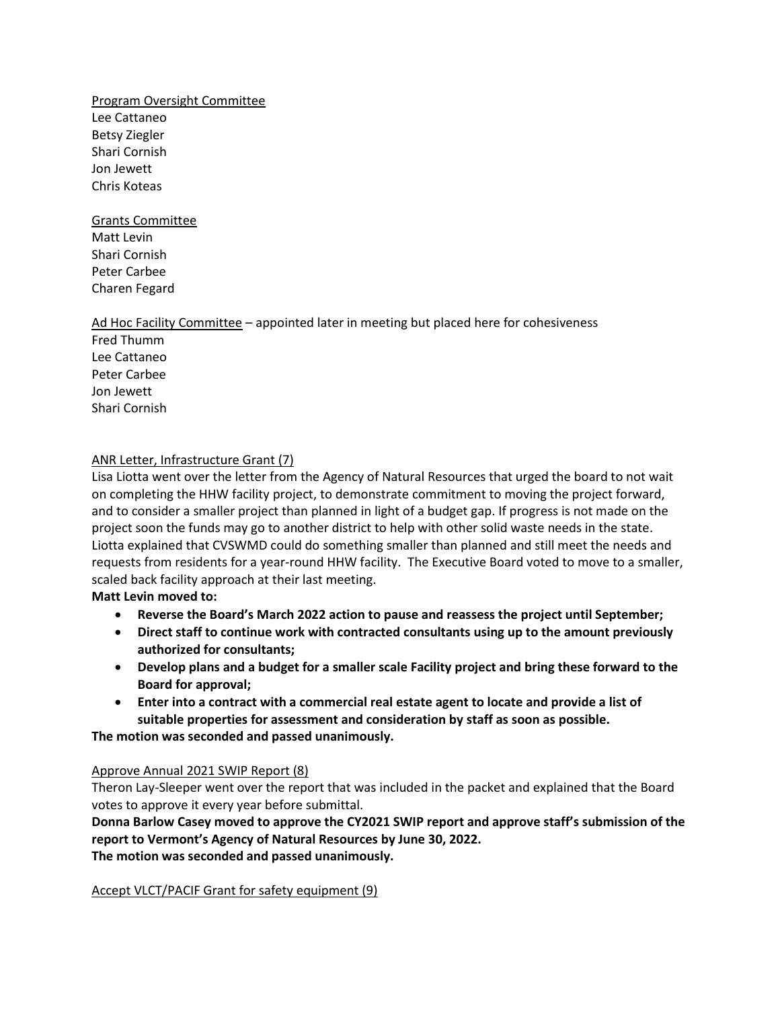Program Oversight Committee Lee Cattaneo Betsy Ziegler Shari Cornish Jon Jewett Chris Koteas

Grants Committee Matt Levin Shari Cornish Peter Carbee Charen Fegard

### Ad Hoc Facility Committee – appointed later in meeting but placed here for cohesiveness

Fred Thumm Lee Cattaneo Peter Carbee Jon Jewett Shari Cornish

### ANR Letter, Infrastructure Grant (7)

Lisa Liotta went over the letter from the Agency of Natural Resources that urged the board to not wait on completing the HHW facility project, to demonstrate commitment to moving the project forward, and to consider a smaller project than planned in light of a budget gap. If progress is not made on the project soon the funds may go to another district to help with other solid waste needs in the state. Liotta explained that CVSWMD could do something smaller than planned and still meet the needs and requests from residents for a year-round HHW facility. The Executive Board voted to move to a smaller, scaled back facility approach at their last meeting.

**Matt Levin moved to:**

- **Reverse the Board's March 2022 action to pause and reassess the project until September;**
- **Direct staff to continue work with contracted consultants using up to the amount previously authorized for consultants;**
- **Develop plans and a budget for a smaller scale Facility project and bring these forward to the Board for approval;**
- **Enter into a contract with a commercial real estate agent to locate and provide a list of suitable properties for assessment and consideration by staff as soon as possible.**

**The motion was seconded and passed unanimously.**

### Approve Annual 2021 SWIP Report (8)

Theron Lay-Sleeper went over the report that was included in the packet and explained that the Board votes to approve it every year before submittal.

**Donna Barlow Casey moved to approve the CY2021 SWIP report and approve staff's submission of the report to Vermont's Agency of Natural Resources by June 30, 2022. The motion was seconded and passed unanimously.**

Accept VLCT/PACIF Grant for safety equipment (9)